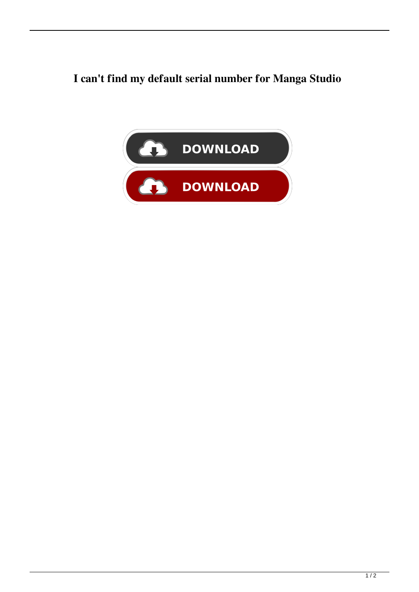## **I can't find my default serial number for Manga Studio**